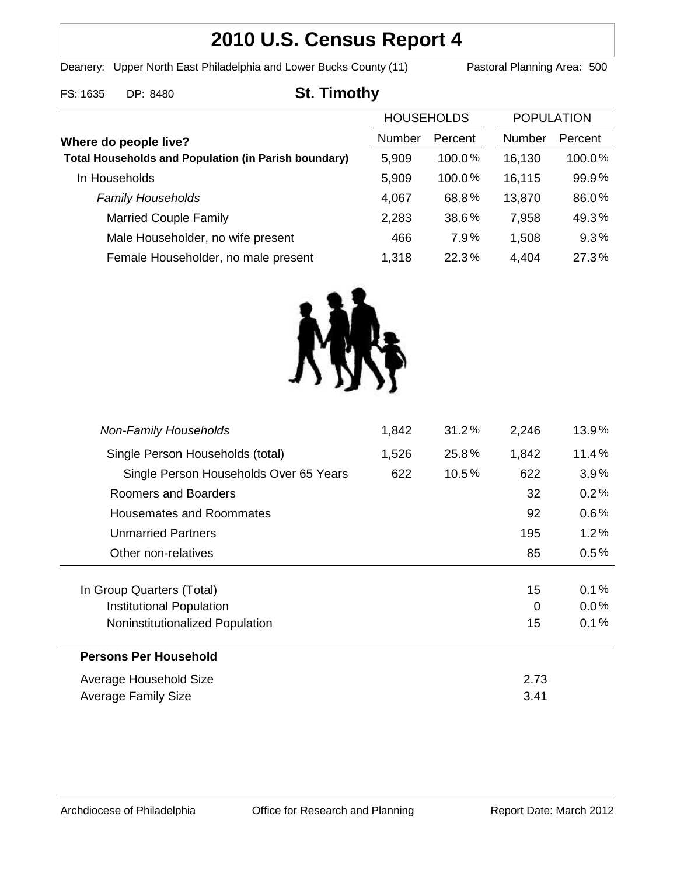# **2010 U.S. Census Report 4**

Deanery: Upper North East Philadelphia and Lower Bucks County (11) Pastoral Planning Area: 500

## FS: 1635 DP: 8480 **St. Timothy**

|                                                             | <b>HOUSEHOLDS</b> |           | <b>POPULATION</b> |         |
|-------------------------------------------------------------|-------------------|-----------|-------------------|---------|
| Where do people live?                                       | Number            | Percent   | <b>Number</b>     | Percent |
| <b>Total Households and Population (in Parish boundary)</b> | 5,909             | $100.0\%$ | 16,130            | 100.0%  |
| In Households                                               | 5,909             | $100.0\%$ | 16,115            | 99.9%   |
| <b>Family Households</b>                                    | 4,067             | 68.8%     | 13,870            | 86.0%   |
| <b>Married Couple Family</b>                                | 2,283             | 38.6%     | 7,958             | 49.3%   |
| Male Householder, no wife present                           | 466               | 7.9%      | 1,508             | 9.3%    |
| Female Householder, no male present                         | 1,318             | 22.3%     | 4,404             | 27.3%   |
|                                                             |                   |           |                   |         |



| <b>Non-Family Households</b>           | 1,842 | 31.2%    | 2,246 | 13.9%   |
|----------------------------------------|-------|----------|-------|---------|
| Single Person Households (total)       | 1,526 | 25.8%    | 1,842 | 11.4%   |
| Single Person Households Over 65 Years | 622   | $10.5\%$ | 622   | $3.9\%$ |
| Roomers and Boarders                   |       |          | 32    | 0.2%    |
| Housemates and Roommates               |       |          | 92    | $0.6\%$ |
| Unmarried Partners                     |       |          | 195   | $1.2\%$ |
| Other non-relatives                    |       |          | 85    | $0.5\%$ |
|                                        |       |          |       |         |
| In Group Quarters (Total)              |       |          | 15    | 0.1%    |
| Institutional Population               |       |          | 0     | $0.0\%$ |
| Noninstitutionalized Population        |       |          | 15    | 0.1%    |
| <b>Persons Per Household</b>           |       |          |       |         |
| Average Household Size                 |       |          | 2.73  |         |
| <b>Average Family Size</b>             |       |          | 3.41  |         |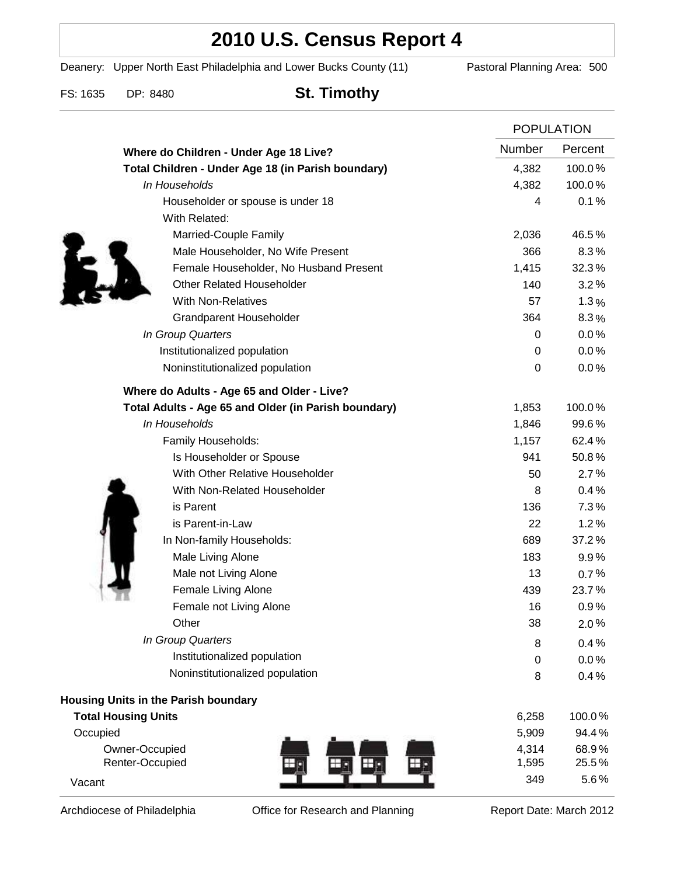# **2010 U.S. Census Report 4**

Deanery: Upper North East Philadelphia and Lower Bucks County (11) Pastoral Planning Area: 500

FS: 1635 DP: 8480 **St. Timothy**

|                                                      |                  | <b>POPULATION</b> |  |
|------------------------------------------------------|------------------|-------------------|--|
| Where do Children - Under Age 18 Live?               | Number           | Percent           |  |
| Total Children - Under Age 18 (in Parish boundary)   | 4,382            | 100.0%            |  |
| In Households                                        | 4,382            | 100.0%            |  |
| Householder or spouse is under 18                    | 4                | 0.1%              |  |
| With Related:                                        |                  |                   |  |
| Married-Couple Family                                | 2,036            | 46.5%             |  |
| Male Householder, No Wife Present                    | 366              | 8.3%              |  |
| Female Householder, No Husband Present               | 1,415            | 32.3%             |  |
| <b>Other Related Householder</b>                     | 140              | 3.2%              |  |
| <b>With Non-Relatives</b>                            | 57               | 1.3%              |  |
| <b>Grandparent Householder</b>                       | 364              | 8.3%              |  |
| In Group Quarters                                    | 0                | 0.0%              |  |
| Institutionalized population                         | 0                | 0.0%              |  |
| Noninstitutionalized population                      | $\boldsymbol{0}$ | 0.0%              |  |
| Where do Adults - Age 65 and Older - Live?           |                  |                   |  |
| Total Adults - Age 65 and Older (in Parish boundary) | 1,853            | 100.0%            |  |
| In Households                                        | 1,846            | 99.6%             |  |
| Family Households:                                   | 1,157            | 62.4%             |  |
| Is Householder or Spouse                             | 941              | 50.8%             |  |
| With Other Relative Householder                      | 50               | 2.7%              |  |
| With Non-Related Householder                         | 8                | 0.4%              |  |
| is Parent                                            | 136              | 7.3%              |  |
| is Parent-in-Law                                     | 22               | 1.2%              |  |
| In Non-family Households:                            | 689              | 37.2%             |  |
| Male Living Alone                                    | 183              | $9.9\%$           |  |
| Male not Living Alone                                | 13               | 0.7%              |  |
| Female Living Alone                                  | 439              | 23.7%             |  |
| Female not Living Alone                              | 16               | 0.9%              |  |
| Other                                                | 38               | 2.0%              |  |
| In Group Quarters                                    | 8                | 0.4%              |  |
| Institutionalized population                         | 0                | 0.0%              |  |
| Noninstitutionalized population                      | 8                | 0.4%              |  |
| Housing Units in the Parish boundary                 |                  |                   |  |
| <b>Total Housing Units</b>                           | 6,258            | 100.0%            |  |
| Occupied                                             | 5,909            | 94.4%             |  |
| Owner-Occupied                                       | 4,314            | 68.9%             |  |
| Renter-Occupied                                      | 1,595            | 25.5%             |  |
| Vacant                                               | 349              | 5.6%              |  |

Archdiocese of Philadelphia **Office for Research and Planning** Report Date: March 2012